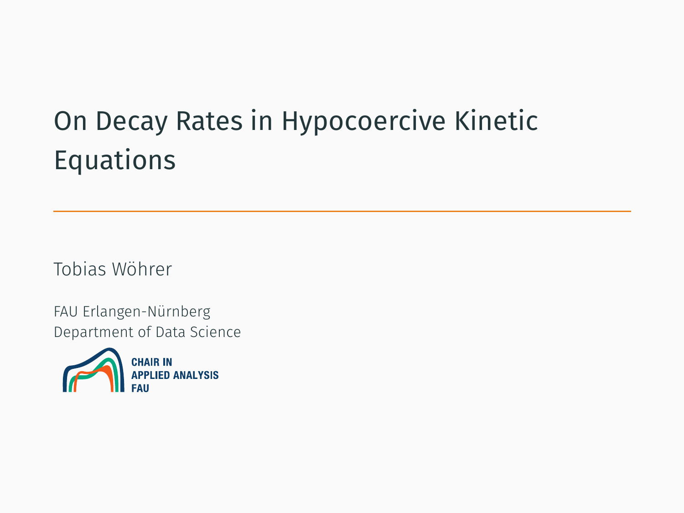# On Decay Rates in Hypocoercive Kinetic Equations

Tobias Wöhrer

FAU Erlangen-Nürnberg Department of Data Science

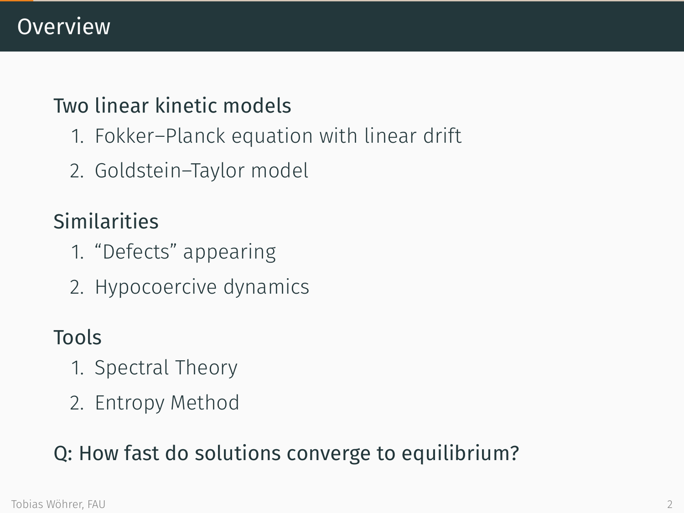## Overview

## Two linear kinetic models

- 1. Fokker–Planck equation with linear drift
- 2. Goldstein–Taylor model

## Similarities

- 1. "Defects" appearing
- 2. Hypocoercive dynamics

## Tools

- 1. Spectral Theory
- 2. Entropy Method

## Q: How fast do solutions converge to equilibrium?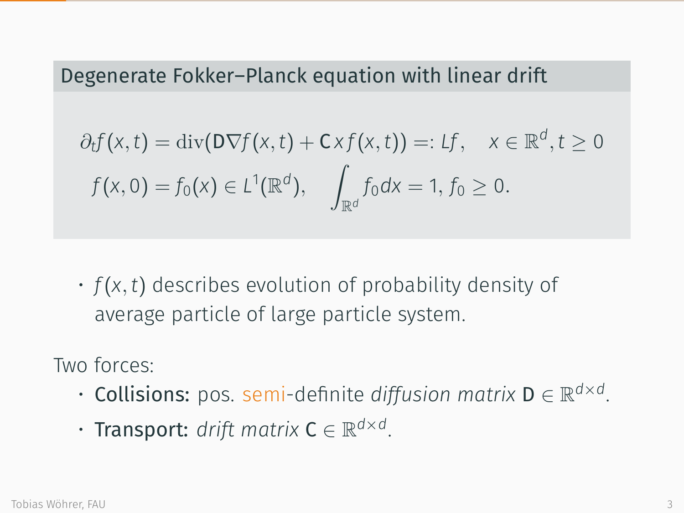## Degenerate Fokker–Planck equation with linear drift

$$
\partial_t f(x,t) = \text{div}(\mathsf{D}\nabla f(x,t) + \mathsf{C}x f(x,t)) =: \mathsf{L}f, \quad x \in \mathbb{R}^d, t \ge 0
$$

$$
f(x,0) = f_0(x) \in \mathsf{L}^1(\mathbb{R}^d), \quad \int_{\mathbb{R}^d} f_0 \, dx = 1, \, f_0 \ge 0.
$$

• *f*(*x*,*t*) describes evolution of probability density of average particle of large particle system.

Two forces:

- Collisions: pos. semi-definite *diffusion matrix* D ∈ R *d*×*d* .
- Transport: *drift matrix* C ∈ R *d*×*d* .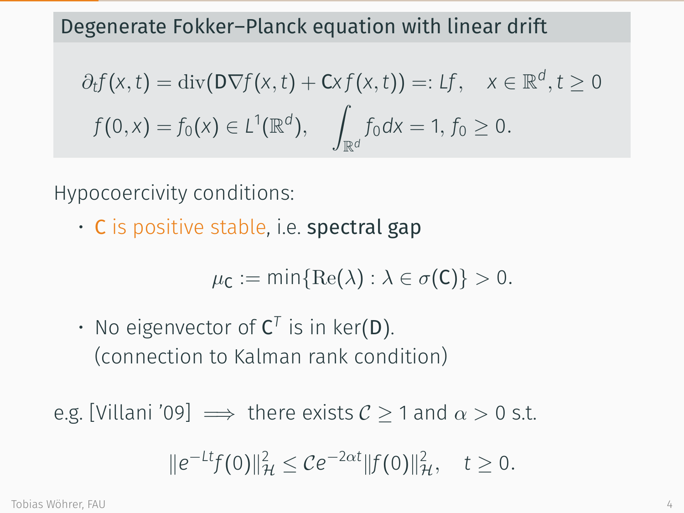## Degenerate Fokker–Planck equation with linear drift

$$
\partial_t f(x,t) = \text{div}(\mathsf{D}\nabla f(x,t) + \mathsf{C}xf(x,t)) =: Lf, \quad x \in \mathbb{R}^d, t \ge 0
$$

$$
f(0,x) = f_0(x) \in L^1(\mathbb{R}^d), \quad \int_{\mathbb{R}^d} f_0 dx = 1, f_0 \ge 0.
$$

Hypocoercivity conditions:

• C is positive stable, i.e. spectral gap

$$
\mu_{\mathsf{C}} := \min\{\operatorname{Re}(\lambda) : \lambda \in \sigma(\mathsf{C})\} > 0.
$$

 $\cdot$  No eigenvector of  $C^{\mathsf{T}}$  is in ker(D). (connection to Kalman rank condition)

e.g. [Villani '09]  $\implies$  there exists  $C \ge 1$  and  $\alpha > 0$  s.t.

$$
||e^{-Lt}f(0)||_{\mathcal{H}}^2 \leq C e^{-2\alpha t} ||f(0)||_{\mathcal{H}}^2, \quad t \geq 0.
$$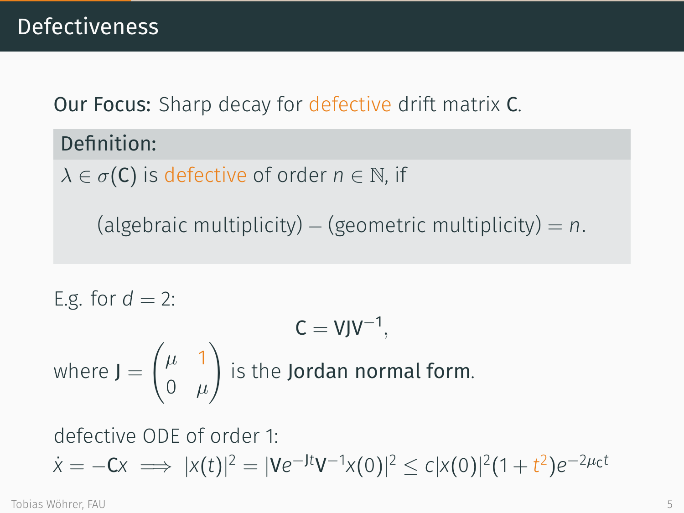## Our Focus: Sharp decay for defective drift matrix C.

Definition:  $\lambda \in \sigma(\mathsf{C})$  is defective of order  $n \in \mathbb{N}$ , if

(algebraic multiplicity) − (geometric multiplicity) = *n*.

E.g. for 
$$
d = 2
$$
:

$$
C = VJV^{-1},
$$
  
where  $J = \begin{pmatrix} \mu & 1 \\ 0 & \mu \end{pmatrix}$  is the **Jordan normal form**.

defective ODE of order 1:

$$
\dot{x} = -Cx \implies |x(t)|^2 = |Ve^{-jt}V^{-1}x(0)|^2 \le c|x(0)|^2(1+t^2)e^{-2\mu_c t}
$$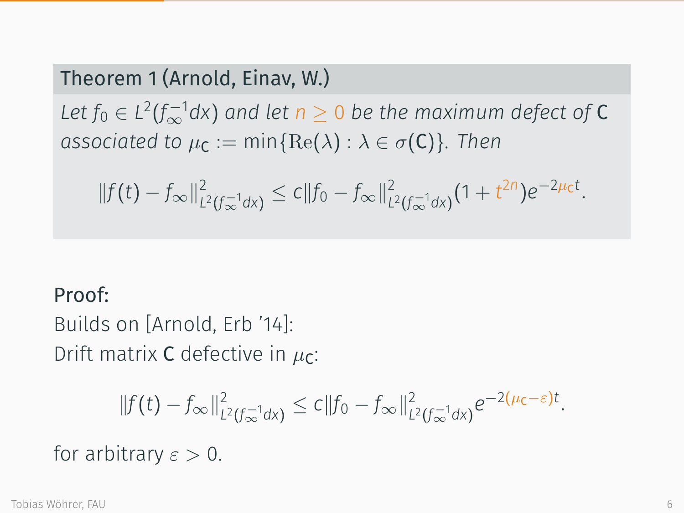## Theorem 1 (Arnold, Einav, W.)

*Let f*<sup>0</sup> ∈ *L* 2 (*f* −1 <sup>∞</sup> *dx*) *and let n* ≥ 0 *be the maximum defect of* C *associated to*  $\mu_{\mathsf{C}} := \min\{\text{Re}(\lambda) : \lambda \in \sigma(\mathsf{C})\}$ *. Then* 

$$
||f(t)-f_{\infty}||_{L^2(f_{\infty}^{-1}dx)}^2 \leq c||f_0-f_{\infty}||_{L^2(f_{\infty}^{-1}dx)}^2(1+t^{2n})e^{-2\mu ct}.
$$

Proof: Builds on [Arnold, Erb '14]: Drift matrix **C** defective in  $\mu_c$ :

$$
||f(t) - f_{\infty}||_{L^2(f_{\infty}^{-1}dx)}^2 \leq c||f_0 - f_{\infty}||_{L^2(f_{\infty}^{-1}dx)}^2 e^{-2(\mu_c - \varepsilon)t}
$$

for arbitrary  $\varepsilon > 0$ .

.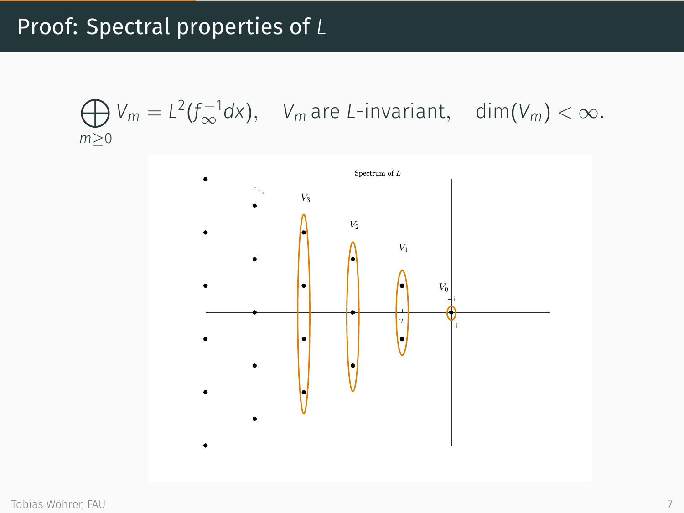

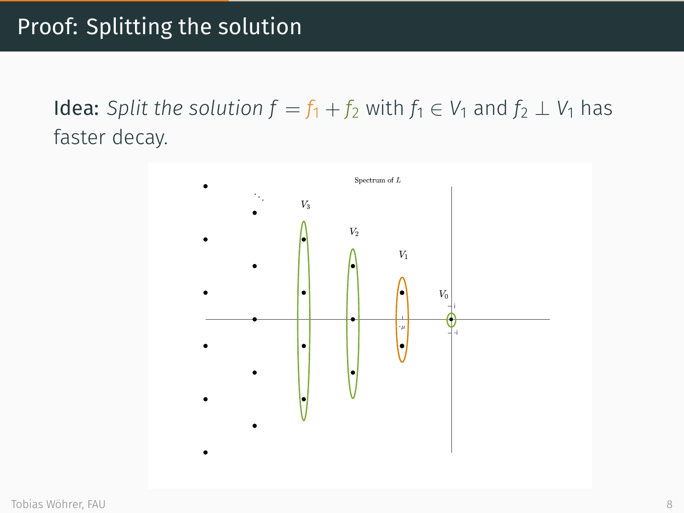**Idea:** *Split the solution*  $f = f_1 + f_2$  *with*  $f_1 \in V_1$  *and*  $f_2 \perp V_1$  *has* faster decay.

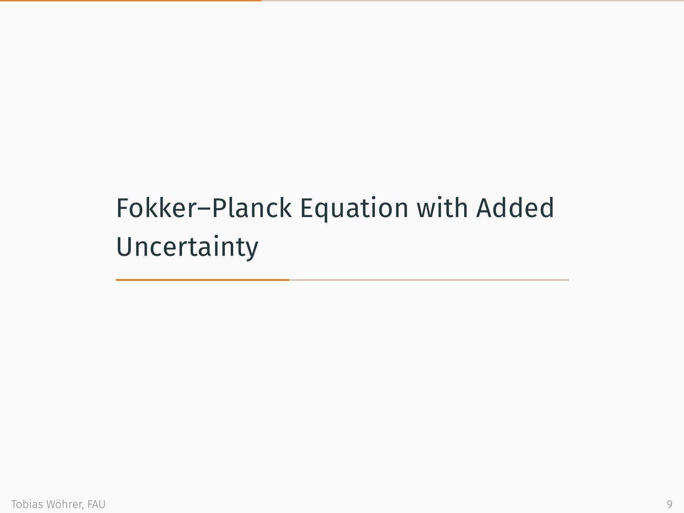# <span id="page-8-0"></span>[Fokker–Planck Equation with Added](#page-8-0) **[Uncertainty](#page-8-0)**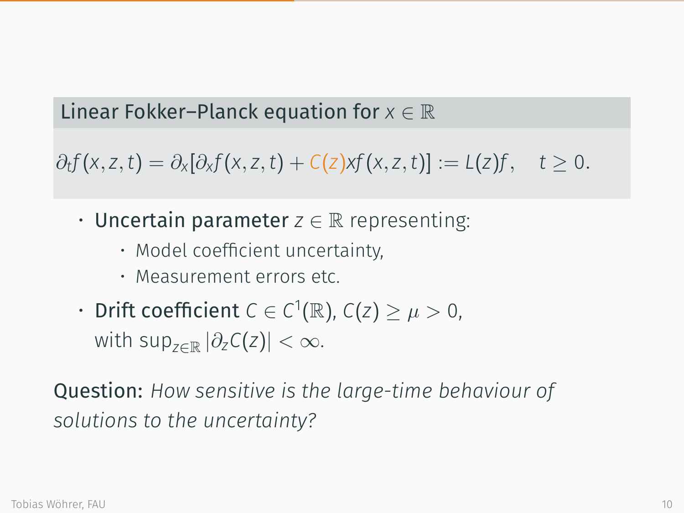## Linear Fokker–Planck equation for  $x \in \mathbb{R}$

 $\partial_t f(x, z, t) = \partial_x [\partial_x f(x, z, t) + C(z) x f(x, z, t)] := L(z) f, \quad t \ge 0.$ 

- Uncertain parameter  $z \in \mathbb{R}$  representing:
	- Model coefficient uncertainty,
	- Measurement errors etc.
- Drift coefficient  $C \in C^1(\mathbb{R})$ ,  $C(z) \geq \mu > 0$ , with  $\sup_{z \in \mathbb{R}} |\partial_z C(z)| < \infty$ .

Question: *How sensitive is the large-time behaviour of solutions to the uncertainty?*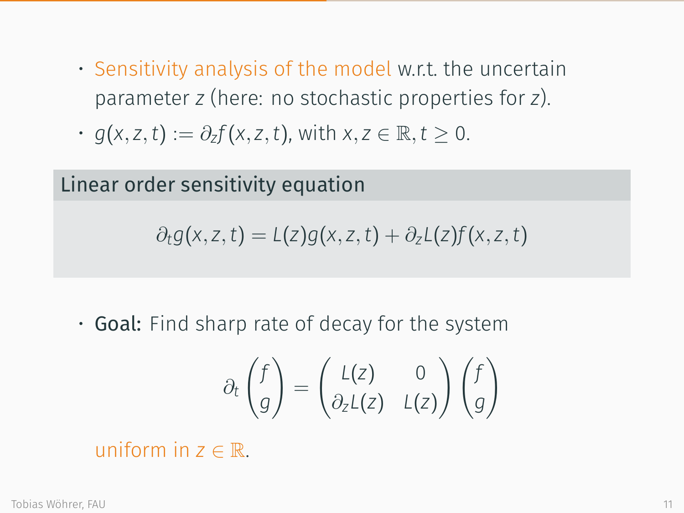- Sensitivity analysis of the model w.r.t. the uncertain parameter *z* (here: no stochastic properties for *z*).
- $\cdot$  *g*(*x*, *z*, *t*) :=  $\partial_z f(x, z, t)$ , with  $x, z \in \mathbb{R}, t \geq 0$ .

## Linear order sensitivity equation

$$
\partial_t g(x, z, t) = L(z)g(x, z, t) + \partial_z L(z)f(x, z, t)
$$

• Goal: Find sharp rate of decay for the system

$$
\partial_t \begin{pmatrix} f \\ g \end{pmatrix} = \begin{pmatrix} L(z) & 0 \\ \partial_z L(z) & L(z) \end{pmatrix} \begin{pmatrix} f \\ g \end{pmatrix}
$$

#### uniform in  $z \in \mathbb{R}$ .

Tobias Wöhrer, FAU 11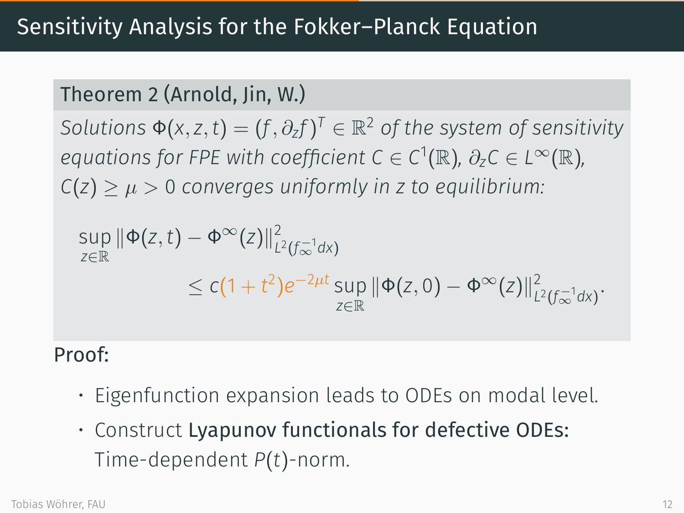Theorem 2 (Arnold, Jin, W.)

*Solutions*  $\Phi$ (*x*,*z*,*t*) = (*f*,  $\partial_z f$ )<sup>T</sup>  $\in \mathbb{R}^2$  of the system of sensitivity *equations for FPE with coefficient C* ∈  $C^1(\mathbb{R})$ ,  $\partial_z C \in L^\infty(\mathbb{R})$ ,  $C(z) > \mu > 0$  converges uniformly in z to equilibrium:

$$
\sup_{z \in \mathbb{R}} \|\Phi(z,t) - \Phi^{\infty}(z)\|_{L^2(f_{\infty}^{-1}dx)}^2 \n\leq c(1+t^2)e^{-2\mu t}\sup_{z \in \mathbb{R}} \|\Phi(z,0) - \Phi^{\infty}(z)\|_{L^2(f_{\infty}^{-1}dx)}^2.
$$

Proof:

- Eigenfunction expansion leads to ODEs on modal level.
- Construct Lyapunov functionals for defective ODEs: Time-dependent *P*(*t*)-norm.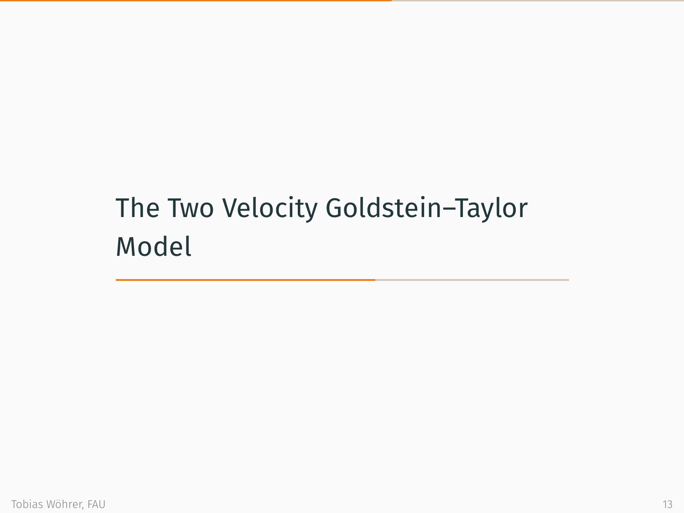## <span id="page-12-0"></span>[The Two Velocity Goldstein–Taylor](#page-12-0) [Model](#page-12-0)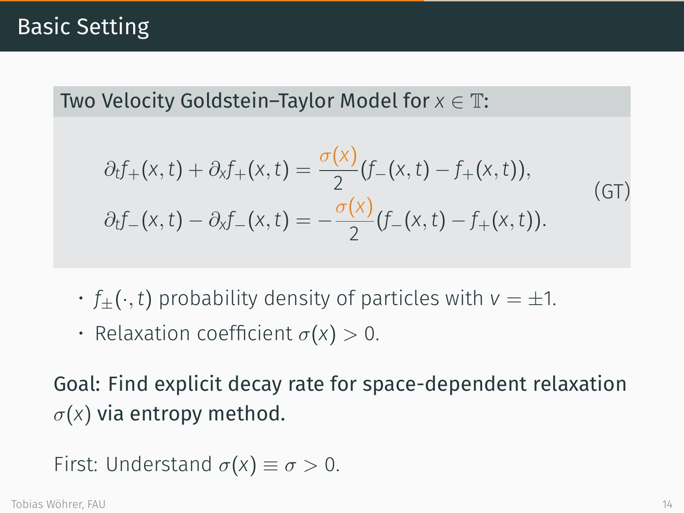Two Velocity Goldstein–Taylor Model for *x* ∈ T:

<span id="page-13-0"></span>
$$
\partial_t f_+(x,t) + \partial_x f_+(x,t) = \frac{\sigma(x)}{2} (f_-(x,t) - f_+(x,t)),
$$
  
\n
$$
\partial_t f_-(x,t) - \partial_x f_-(x,t) = -\frac{\sigma(x)}{2} (f_-(x,t) - f_+(x,t)).
$$
\n(GT)

- $\cdot$   $f_{+}(\cdot,t)$  probability density of particles with  $v = \pm 1$ .
- Relaxation coefficient  $\sigma(x) > 0$ .

Goal: Find explicit decay rate for space-dependent relaxation  $\sigma(x)$  via entropy method.

First: Understanding 
$$
\sigma(x) \equiv \sigma > 0
$$
.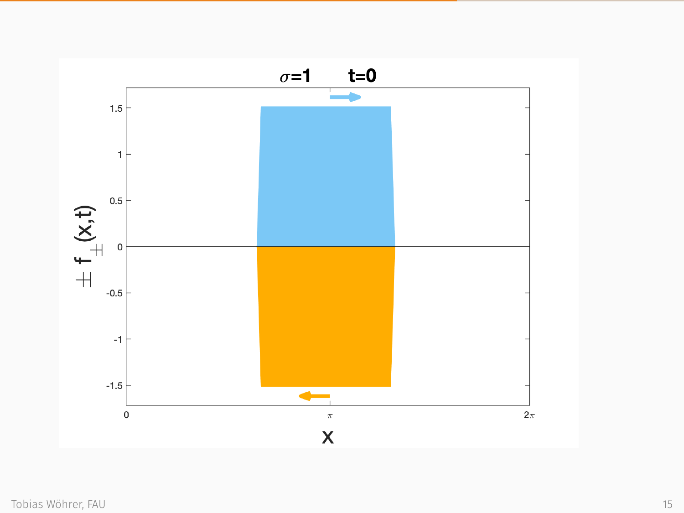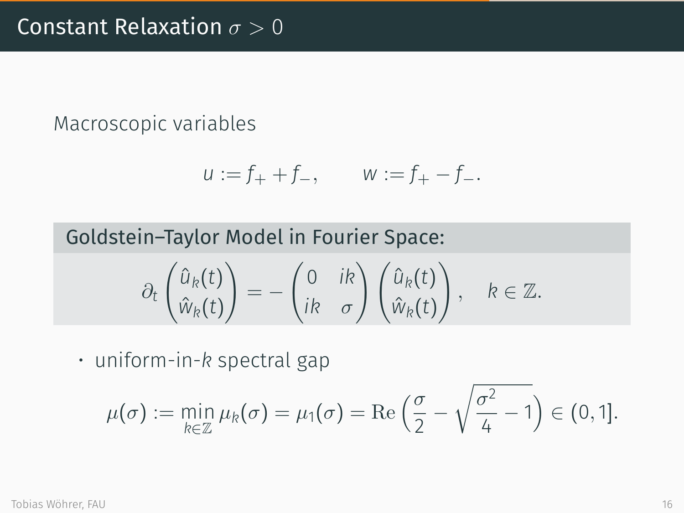## Macroscopic variables

$$
u := f_+ + f_-, \qquad w := f_+ - f_-.
$$

#### Goldstein–Taylor Model in Fourier Space: ∂*t*  $\int \hat{u}_k(t)$  $\hat{w}_k(t)$  $\setminus$  $= -$  0 *ik ik* σ  $\bigwedge$   $\bigwedge$   $\hat{u}_k(t)$  $\hat{w}_k(t)$  $\setminus$ , *k* ∈ Z.

• uniform-in-*k* spectral gap

$$
\mu(\sigma) := \min_{k \in \mathbb{Z}} \mu_k(\sigma) = \mu_1(\sigma) = \text{Re}\left(\frac{\sigma}{2} - \sqrt{\frac{\sigma^2}{4} - 1}\right) \in (0, 1].
$$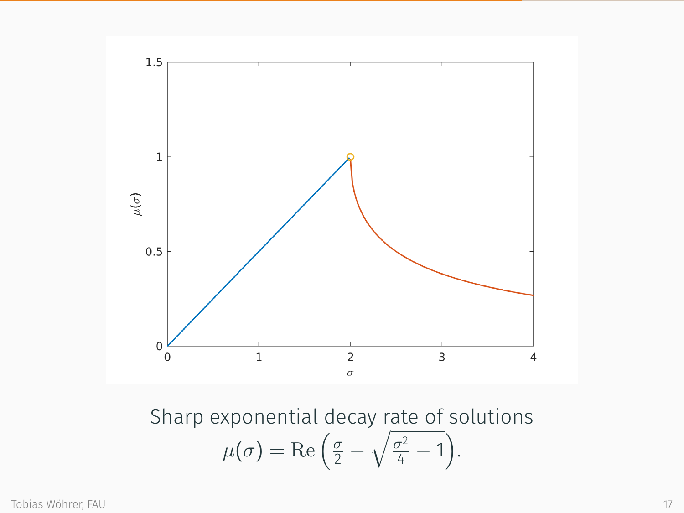

Sharp exponential decay rate of solutions  $\mu(\sigma) = \text{Re}\left(\frac{\sigma}{2} - \sqrt{\frac{\sigma^2}{4} - 1}\right).$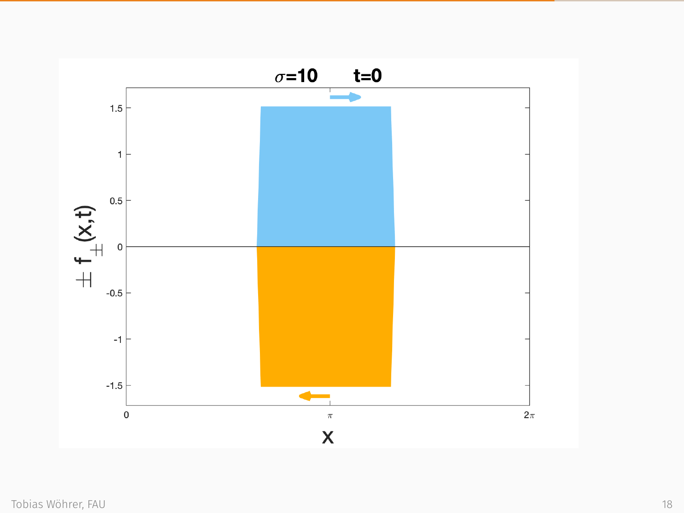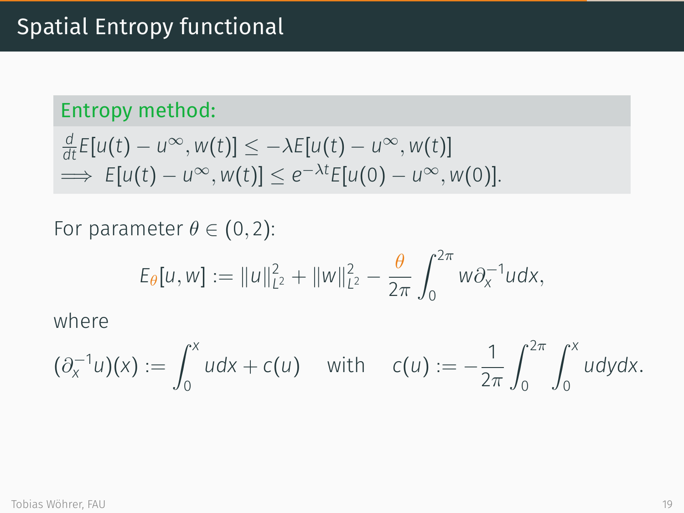## Entropy method:

$$
\frac{d}{dt}E[u(t) - u^{\infty}, w(t)] \le -\lambda E[u(t) - u^{\infty}, w(t)]
$$
\n
$$
\implies E[u(t) - u^{\infty}, w(t)] \le e^{-\lambda t}E[u(0) - u^{\infty}, w(0)].
$$

For parameter  $\theta \in (0, 2)$ :

$$
E_{\theta}[u, w] := \|u\|_{L^2}^2 + \|w\|_{L^2}^2 - \frac{\theta}{2\pi} \int_0^{2\pi} w \partial_x^{-1} u \, dx,
$$

where

$$
(\partial_x^{-1}u)(x) := \int_0^x u dx + c(u) \quad \text{with} \quad c(u) := -\frac{1}{2\pi} \int_0^{2\pi} \int_0^x u dy dx.
$$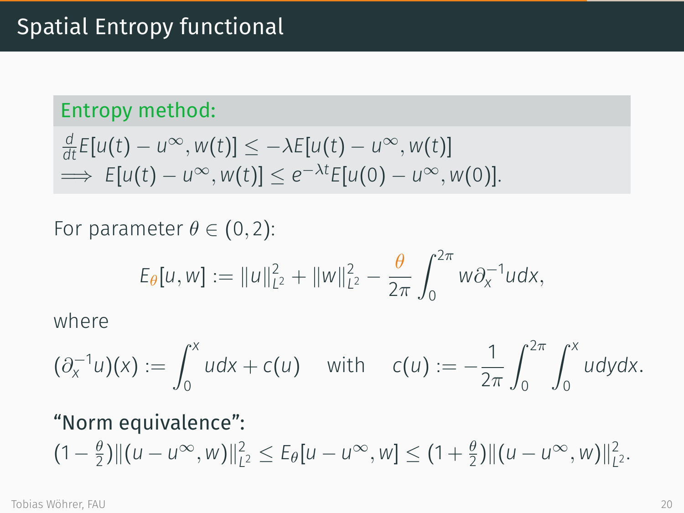## Entropy method:

$$
\frac{d}{dt}E[u(t) - u^{\infty}, w(t)] \le -\lambda E[u(t) - u^{\infty}, w(t)]
$$
\n
$$
\implies E[u(t) - u^{\infty}, w(t)] \le e^{-\lambda t}E[u(0) - u^{\infty}, w(0)].
$$

For parameter  $\theta \in (0, 2)$ :

$$
E_{\theta}[u, w] := \|u\|_{L^2}^2 + \|w\|_{L^2}^2 - \frac{\theta}{2\pi} \int_0^{2\pi} w \partial_x^{-1} u \, dx,
$$

where

$$
(\partial_x^{-1}u)(x) := \int_0^x u dx + c(u) \quad \text{with} \quad c(u) := -\frac{1}{2\pi} \int_0^{2\pi} \int_0^x u dy dx.
$$

#### "Norm equivalence":  $(1-\frac{\theta}{2})$  $\frac{\theta}{2}$ )||(*u* – *u*<sup>∞</sup>, *w*)||<sup>2</sup>  $L_2^2 \le E_\theta[u - u^\infty, w] \le (1 + \frac{\theta}{2})$  $\frac{\theta}{2}$ )|| $(u - u^{\infty}, w)$ ||<sup>2</sup> *L* 2 .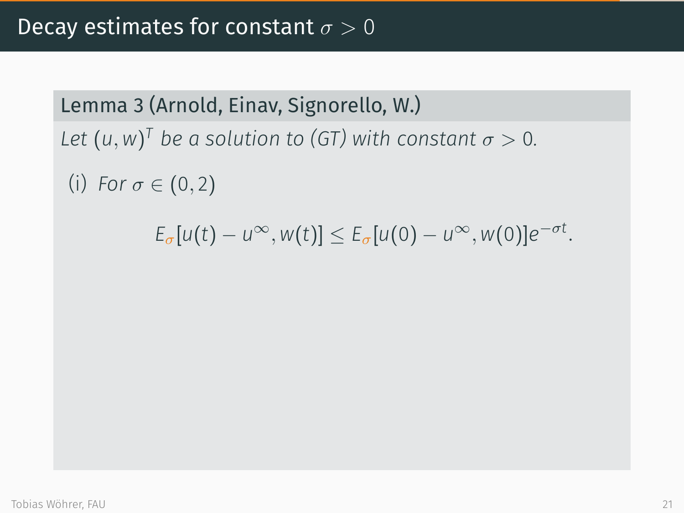```
Lemma 3 (Arnold, Einav, Signorello, W.)
Let (u,w)^T be a solution to (GT) with constant \sigma>0.(i) For \sigma \in (0, 2)E_{\sigma}[u(t) - u^{\infty}, w(t)] \le E_{\sigma}[u(0) - u^{\infty}, w(0)]e^{-\sigma t}.
```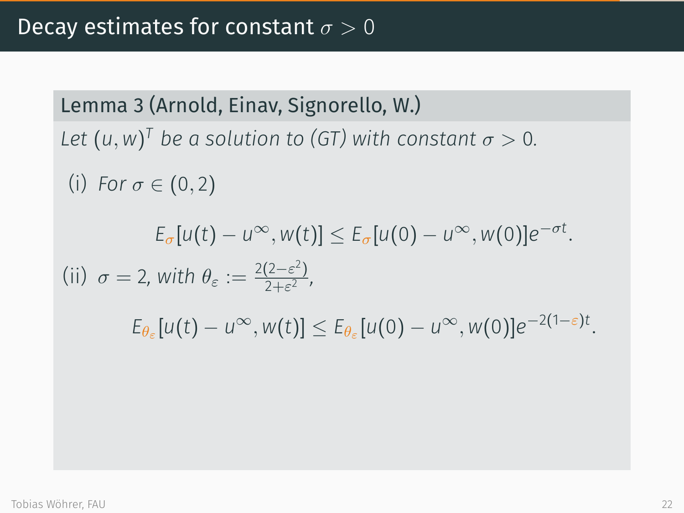Lemma 3 (Arnold, Einav, Signorello, W.) Let  $(u,w)^T$  be a solution to (GT) with constant  $\sigma>0.$ (i) *For*  $\sigma \in (0, 2)$  $E_{\sigma}[u(t) - u^{\infty}, w(t)] \le E_{\sigma}[u(0) - u^{\infty}, w(0)]e^{-\sigma t}.$ (ii)  $\sigma = 2$ , with  $\theta_{\varepsilon} := \frac{2(2-\varepsilon^2)}{2+\varepsilon^2}$  $\frac{(2-\varepsilon)}{2+\varepsilon^2}$ ,  $E_{\theta_{\varepsilon}}[u(t) - u^{\infty}, w(t)] \le E_{\theta_{\varepsilon}}[u(0) - u^{\infty}, w(0)]e^{-2(1-\varepsilon)t}.$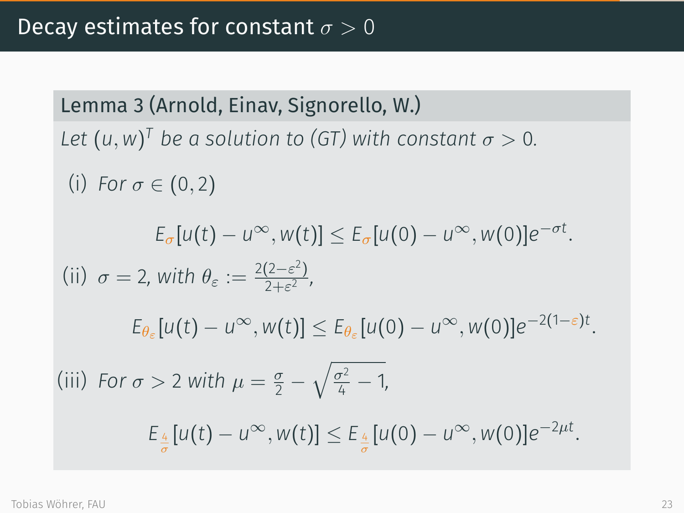Lemma 3 (Arnold, Einav, Signorello, W.) Let  $(u,w)^T$  be a solution to (GT) with constant  $\sigma>0.$ (i) *For*  $\sigma \in (0, 2)$  $E_{\sigma}[u(t) - u^{\infty}, w(t)] \le E_{\sigma}[u(0) - u^{\infty}, w(0)]e^{-\sigma t}.$ (ii)  $\sigma = 2$ , with  $\theta_{\varepsilon} := \frac{2(2-\varepsilon^2)}{2+\varepsilon^2}$  $\frac{(2-\varepsilon)}{2+\varepsilon^2}$ ,  $E_{\theta_{\varepsilon}}[u(t) - u^{\infty}, w(t)] \le E_{\theta_{\varepsilon}}[u(0) - u^{\infty}, w(0)]e^{-2(1-\varepsilon)t}.$ (iii) *For*  $\sigma > 2$  *with*  $\mu = \frac{\sigma}{2} - \sqrt{\frac{\sigma^2}{4} - 1}$ ,  $E_{\frac{A}{\sigma}}[u(t) - u^{\infty}, w(t)] \le E_{\frac{A}{\sigma}}[u(0) - u^{\infty}, w(0)]e^{-2\mu t}.$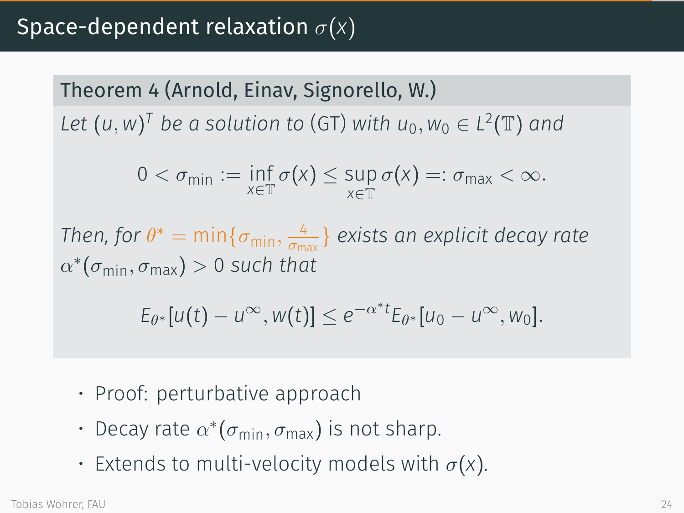Theorem 4 (Arnold, Einav, Signorello, W.) Let  $(u, w)^T$  be a solution to [\(GT\)](#page-13-0) with  $u_0, w_0 \in L^2(\mathbb{T})$  and

$$
0 < \sigma_{\min} := \inf_{x \in \mathbb{T}} \sigma(x) \leq \sup_{x \in \mathbb{T}} \sigma(x) =: \sigma_{\max} < \infty.
$$

Then, for  $\theta^* = \mathsf{min}\{\sigma_{\mathsf{min}}, \frac{4}{\sigma_{\mathsf{m}}}$ σmax } *exists an explicit decay rate*  $\alpha^*(\sigma_{\sf min},\sigma_{\sf max})>0$  such that

$$
E_{\theta^*}[u(t)-u^{\infty},w(t)] \leq e^{-\alpha^*t}E_{\theta^*}[u_0-u^{\infty},w_0].
$$

- Proof: perturbative approach
- Decay rate  $\alpha^*(\sigma_{\sf min},\sigma_{\sf max})$  is not sharp.
- $\cdot$  Extends to multi-velocity models with  $\sigma(x)$ .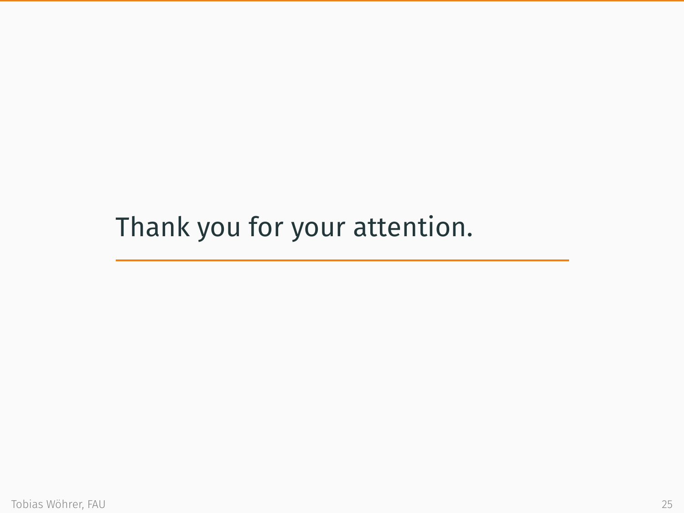<span id="page-24-0"></span>[Thank you for your attention.](#page-24-0)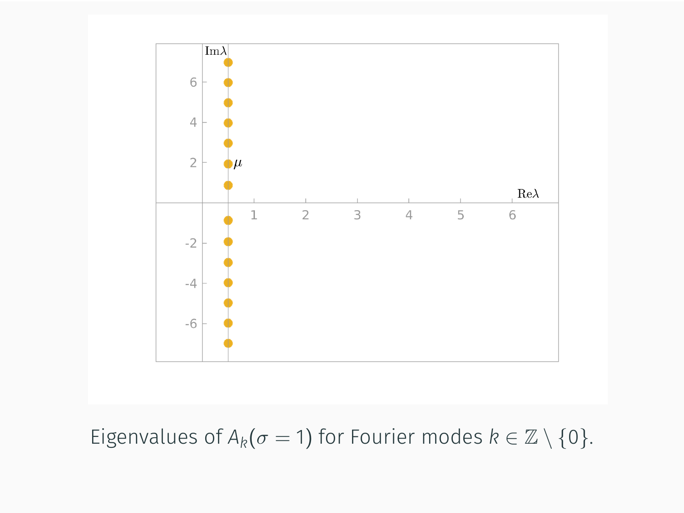

Eigenvalues of  $A_k(\sigma = 1)$  for Fourier modes  $k \in \mathbb{Z} \setminus \{0\}.$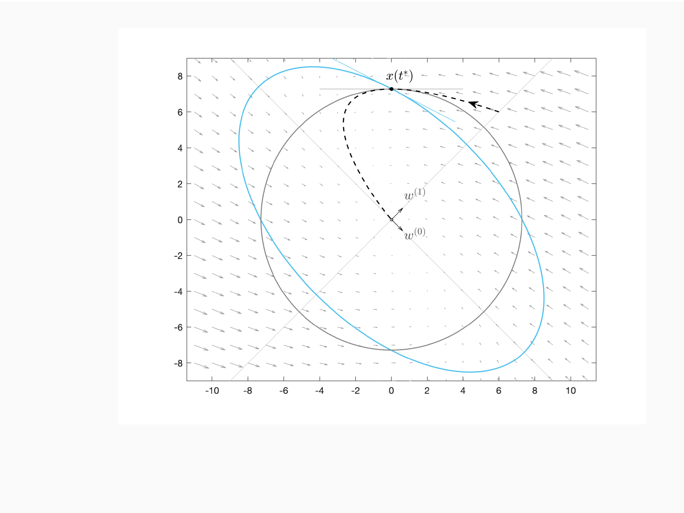